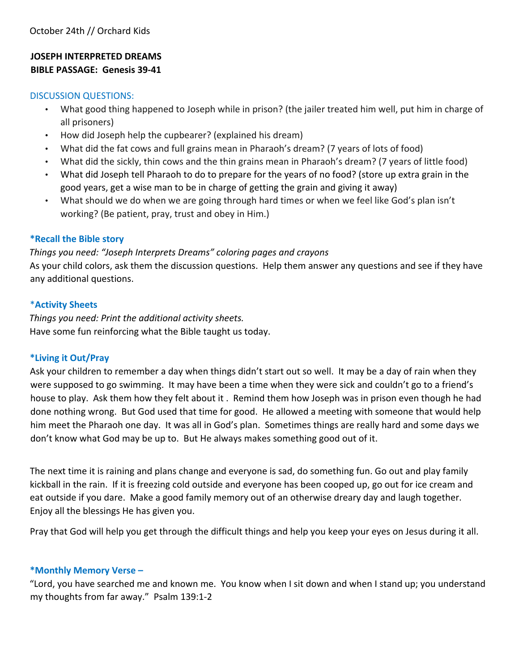## **JOSEPH INTERPRETED DREAMS BIBLE PASSAGE: Genesis 39-41**

#### DISCUSSION QUESTIONS:

- What good thing happened to Joseph while in prison? (the jailer treated him well, put him in charge of all prisoners)
- How did Joseph help the cupbearer? (explained his dream)
- What did the fat cows and full grains mean in Pharaoh's dream? (7 years of lots of food)
- What did the sickly, thin cows and the thin grains mean in Pharaoh's dream? (7 years of little food)
- What did Joseph tell Pharaoh to do to prepare for the years of no food? (store up extra grain in the good years, get a wise man to be in charge of getting the grain and giving it away)
- What should we do when we are going through hard times or when we feel like God's plan isn't working? (Be patient, pray, trust and obey in Him.)

#### **\*Recall the Bible story**

### *Things you need: "Joseph Interprets Dreams" coloring pages and crayons*

As your child colors, ask them the discussion questions. Help them answer any questions and see if they have any additional questions.

#### \***Activity Sheets**

*Things you need: Print the additional activity sheets.*  Have some fun reinforcing what the Bible taught us today.

#### **\*Living it Out/Pray**

Ask your children to remember a day when things didn't start out so well. It may be a day of rain when they were supposed to go swimming. It may have been a time when they were sick and couldn't go to a friend's house to play. Ask them how they felt about it . Remind them how Joseph was in prison even though he had done nothing wrong. But God used that time for good. He allowed a meeting with someone that would help him meet the Pharaoh one day. It was all in God's plan. Sometimes things are really hard and some days we don't know what God may be up to. But He always makes something good out of it.

The next time it is raining and plans change and everyone is sad, do something fun. Go out and play family kickball in the rain. If it is freezing cold outside and everyone has been cooped up, go out for ice cream and eat outside if you dare. Make a good family memory out of an otherwise dreary day and laugh together. Enjoy all the blessings He has given you.

Pray that God will help you get through the difficult things and help you keep your eyes on Jesus during it all.

#### **\*Monthly Memory Verse –**

"Lord, you have searched me and known me. You know when I sit down and when I stand up; you understand my thoughts from far away." Psalm 139:1-2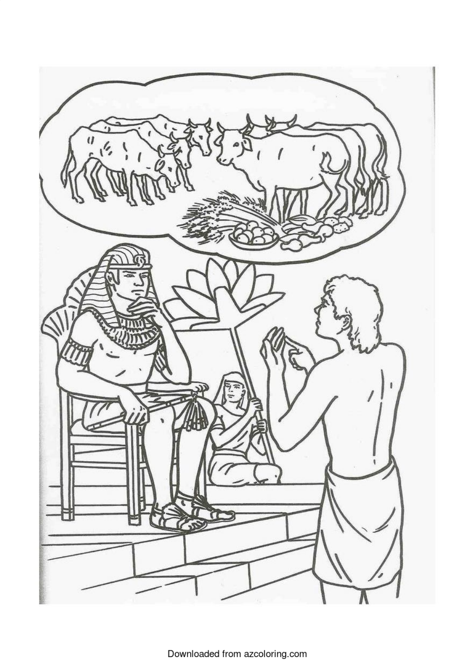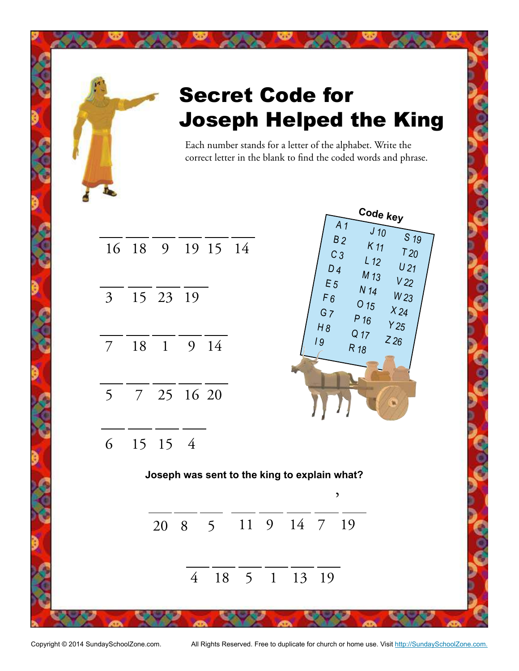

Copyright © 2014 SundaySchoolZone.com. All Rights Reserved. Free to duplicate for church or home use. Visit http://SundaySchoolZone.com.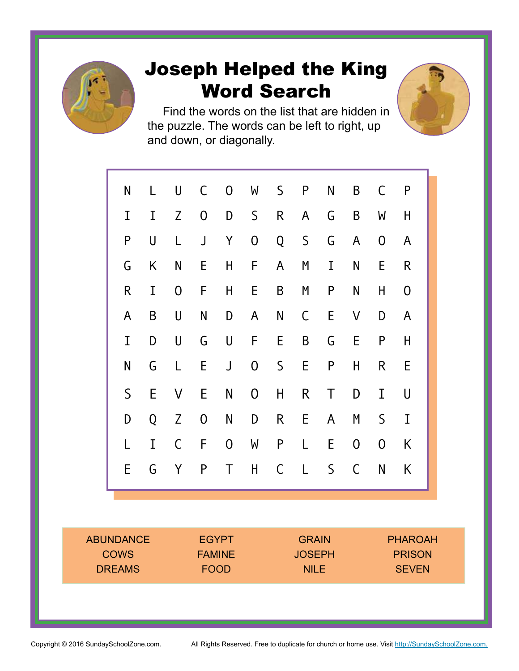

# Joseph Helped the King Word Search

Find the words on the list that are hidden in the puzzle. The words can be left to right, up and down, or diagonally.



ABUNDANCE **COWS** DREAMS EGYPT FAMINE FOOD **GRAIN JOSEPH** NILE PHAROAH PRISON **SEVEN**